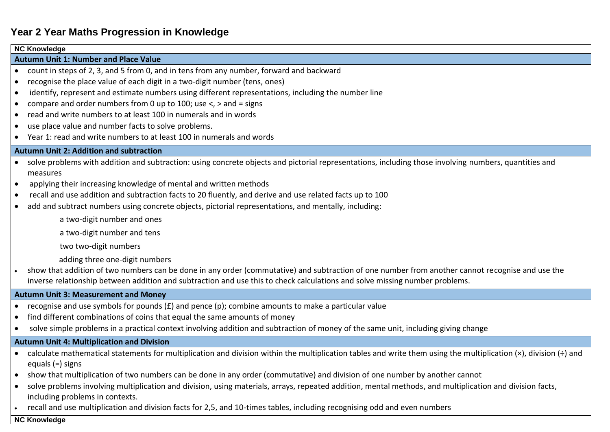# **Year 2 Year Maths Progression in Knowledge**

## **NC Knowledge Autumn Unit 1: Number and Place Value**  count in steps of 2, 3, and 5 from 0, and in tens from any number, forward and backward recognise the place value of each digit in a two-digit number (tens, ones) identify, represent and estimate numbers using different representations, including the number line compare and order numbers from 0 up to 100; use <, > and = signs read and write numbers to at least 100 in numerals and in words use place value and number facts to solve problems. Year 1: read and write numbers to at least 100 in numerals and words **Autumn Unit 2: Addition and subtraction**  solve problems with addition and subtraction: using concrete objects and pictorial representations, including those involving numbers, quantities and measures applying their increasing knowledge of mental and written methods recall and use addition and subtraction facts to 20 fluently, and derive and use related facts up to 100 add and subtract numbers using concrete objects, pictorial representations, and mentally, including: a two-digit number and ones a two-digit number and tens two two-digit numbers adding three one-digit numbers show that addition of two numbers can be done in any order (commutative) and subtraction of one number from another cannot recognise and use the inverse relationship between addition and subtraction and use this to check calculations and solve missing number problems. **Autumn Unit 3: Measurement and Money** recognise and use symbols for pounds (£) and pence (p); combine amounts to make a particular value find different combinations of coins that equal the same amounts of money solve simple problems in a practical context involving addition and subtraction of money of the same unit, including giving change **Autumn Unit 4: Multiplication and Division** • calculate mathematical statements for multiplication and division within the multiplication tables and write them using the multiplication (×), division (÷) and equals (=) signs show that multiplication of two numbers can be done in any order (commutative) and division of one number by another cannot solve problems involving multiplication and division, using materials, arrays, repeated addition, mental methods, and multiplication and division facts, including problems in contexts. recall and use multiplication and division facts for 2,5, and 10-times tables, including recognising odd and even numbers **NC Knowledge**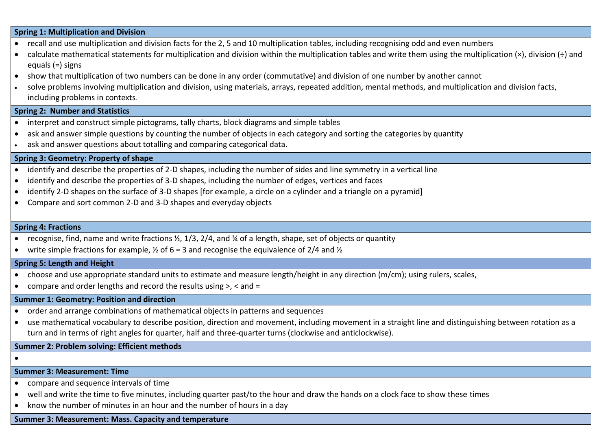#### **Spring 1: Multiplication and Division**

- recall and use multiplication and division facts for the 2, 5 and 10 multiplication tables, including recognising odd and even numbers
- calculate mathematical statements for multiplication and division within the multiplication tables and write them using the multiplication  $(x)$ , division  $(\div)$  and equals (=) signs
- show that multiplication of two numbers can be done in any order (commutative) and division of one number by another cannot
- solve problems involving multiplication and division, using materials, arrays, repeated addition, mental methods, and multiplication and division facts, including problems in contexts.

## **Spring 2: Number and Statistics**

- interpret and construct simple pictograms, tally charts, block diagrams and simple tables
- ask and answer simple questions by counting the number of objects in each category and sorting the categories by quantity
- ask and answer questions about totalling and comparing categorical data.

#### **Spring 3: Geometry: Property of shape**

- identify and describe the properties of 2-D shapes, including the number of sides and line symmetry in a vertical line
- identify and describe the properties of 3-D shapes, including the number of edges, vertices and faces
- identify 2-D shapes on the surface of 3-D shapes [for example, a circle on a cylinder and a triangle on a pyramid]
- Compare and sort common 2-D and 3-D shapes and everyday objects

#### **Spring 4: Fractions**

- recognise, find, name and write fractions  $\frac{1}{2}$ , 1/3, 2/4, and  $\frac{1}{4}$  of a length, shape, set of objects or quantity
- write simple fractions for example,  $\frac{1}{2}$  of 6 = 3 and recognise the equivalence of 2/4 and  $\frac{1}{2}$

#### **Spring 5: Length and Height**

- choose and use appropriate standard units to estimate and measure length/height in any direction (m/cm); using rulers, scales,
- compare and order lengths and record the results using  $>$ ,  $<$  and  $=$

#### **Summer 1: Geometry: Position and direction**

- order and arrange combinations of mathematical objects in patterns and sequences
- use mathematical vocabulary to describe position, direction and movement, including movement in a straight line and distinguishing between rotation as a turn and in terms of right angles for quarter, half and three-quarter turns (clockwise and anticlockwise).

### **Summer 2: Problem solving: Efficient methods**

 $\bullet$ 

## **Summer 3: Measurement: Time**

- compare and sequence intervals of time
- well and write the time to five minutes, including quarter past/to the hour and draw the hands on a clock face to show these times
- know the number of minutes in an hour and the number of hours in a day

#### **Summer 3: Measurement: Mass. Capacity and temperature**